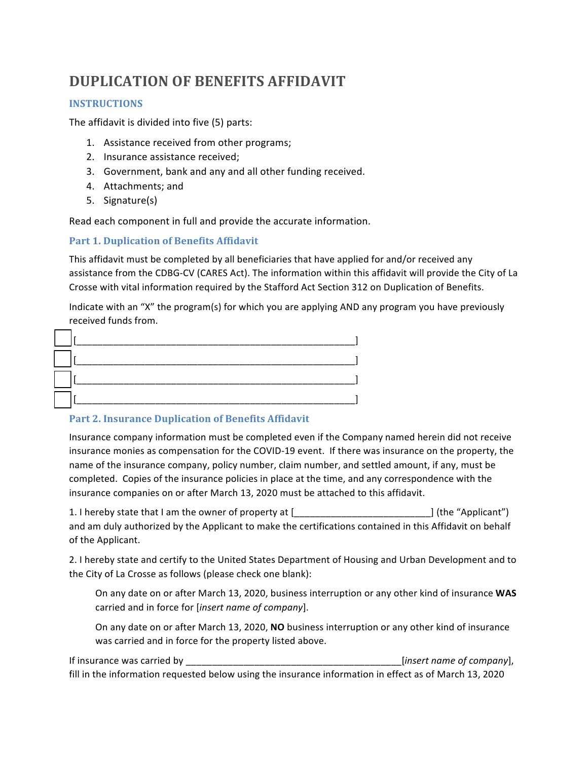# **DUPLICATION OF BENEFITS AFFIDAVIT**

## **INSTRUCTIONS**

The affidavit is divided into five  $(5)$  parts:

- 1. Assistance received from other programs;
- 2. Insurance assistance received;
- 3. Government, bank and any and all other funding received.
- 4. Attachments; and
- 5. Signature(s)

Read each component in full and provide the accurate information.

## Part 1. Duplication of Benefits Affidavit

This affidavit must be completed by all beneficiaries that have applied for and/or received any assistance from the CDBG-CV (CARES Act). The information within this affidavit will provide the City of La Crosse with vital information required by the Stafford Act Section 312 on Duplication of Benefits.

Indicate with an "X" the program(s) for which you are applying AND any program you have previously received funds from.

## Part 2. Insurance Duplication of Benefits Affidavit

Insurance company information must be completed even if the Company named herein did not receive insurance monies as compensation for the COVID-19 event. If there was insurance on the property, the name of the insurance company, policy number, claim number, and settled amount, if any, must be completed. Copies of the insurance policies in place at the time, and any correspondence with the insurance companies on or after March 13, 2020 must be attached to this affidavit.

1. I hereby state that I am the owner of property at [\_\_\_\_\_\_\_\_\_\_\_\_\_\_\_\_\_\_\_\_\_\_\_\_\_\_] (the "Applicant") and am duly authorized by the Applicant to make the certifications contained in this Affidavit on behalf of the Applicant.

2. I hereby state and certify to the United States Department of Housing and Urban Development and to the City of La Crosse as follows (please check one blank):

On any date on or after March 13, 2020, business interruption or any other kind of insurance WAS carried and in force for [insert name of company].

On any date on or after March 13, 2020, NO business interruption or any other kind of insurance was carried and in force for the property listed above.

If insurance was carried by example of the same of company],  $[insert name of company]$ , fill in the information requested below using the insurance information in effect as of March 13, 2020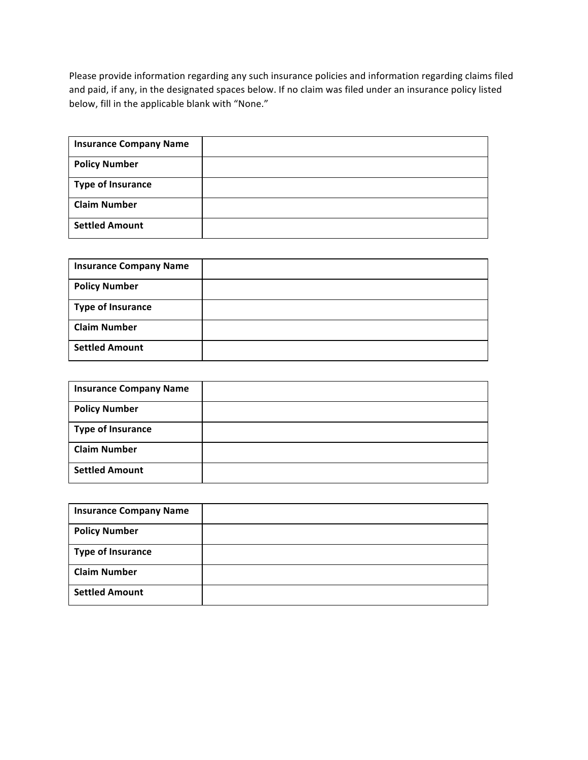Please provide information regarding any such insurance policies and information regarding claims filed and paid, if any, in the designated spaces below. If no claim was filed under an insurance policy listed below, fill in the applicable blank with "None."

| <b>Insurance Company Name</b> |  |
|-------------------------------|--|
| <b>Policy Number</b>          |  |
| <b>Type of Insurance</b>      |  |
| <b>Claim Number</b>           |  |
| <b>Settled Amount</b>         |  |

| <b>Insurance Company Name</b> |  |
|-------------------------------|--|
| <b>Policy Number</b>          |  |
| <b>Type of Insurance</b>      |  |
| <b>Claim Number</b>           |  |
| <b>Settled Amount</b>         |  |

| <b>Insurance Company Name</b> |  |
|-------------------------------|--|
| <b>Policy Number</b>          |  |
| <b>Type of Insurance</b>      |  |
| <b>Claim Number</b>           |  |
| <b>Settled Amount</b>         |  |

| <b>Insurance Company Name</b> |  |
|-------------------------------|--|
| <b>Policy Number</b>          |  |
| <b>Type of Insurance</b>      |  |
| <b>Claim Number</b>           |  |
| <b>Settled Amount</b>         |  |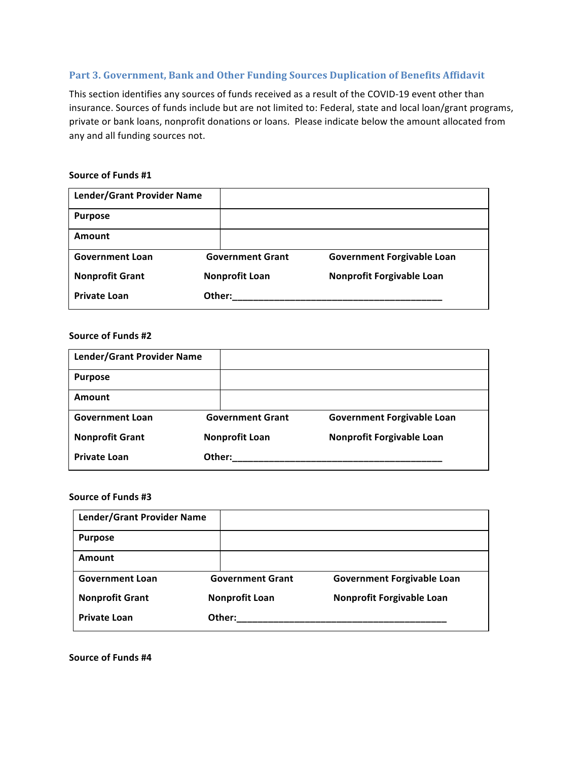## Part 3. Government, Bank and Other Funding Sources Duplication of Benefits Affidavit

This section identifies any sources of funds received as a result of the COVID-19 event other than insurance. Sources of funds include but are not limited to: Federal, state and local loan/grant programs, private or bank loans, nonprofit donations or loans. Please indicate below the amount allocated from any and all funding sources not.

#### Source of Funds #1

| Lender/Grant Provider Name |        |                         |                                   |
|----------------------------|--------|-------------------------|-----------------------------------|
| <b>Purpose</b>             |        |                         |                                   |
| Amount                     |        |                         |                                   |
| <b>Government Loan</b>     |        | <b>Government Grant</b> | <b>Government Forgivable Loan</b> |
| <b>Nonprofit Grant</b>     |        | <b>Nonprofit Loan</b>   | Nonprofit Forgivable Loan         |
| <b>Private Loan</b>        | Other: |                         |                                   |

#### **Source of Funds #2**

| <b>Lender/Grant Provider Name</b> |                         |                                   |
|-----------------------------------|-------------------------|-----------------------------------|
| <b>Purpose</b>                    |                         |                                   |
| Amount                            |                         |                                   |
| <b>Government Loan</b>            | <b>Government Grant</b> | <b>Government Forgivable Loan</b> |
| <b>Nonprofit Grant</b>            | <b>Nonprofit Loan</b>   | Nonprofit Forgivable Loan         |
| <b>Private Loan</b>               | Other:                  |                                   |

#### **Source of Funds #3**

| Lender/Grant Provider Name |                         |                                   |
|----------------------------|-------------------------|-----------------------------------|
| <b>Purpose</b>             |                         |                                   |
| Amount                     |                         |                                   |
| <b>Government Loan</b>     | <b>Government Grant</b> | <b>Government Forgivable Loan</b> |
| <b>Nonprofit Grant</b>     | <b>Nonprofit Loan</b>   | Nonprofit Forgivable Loan         |
| <b>Private Loan</b>        | Other:                  |                                   |

**Source of Funds #4**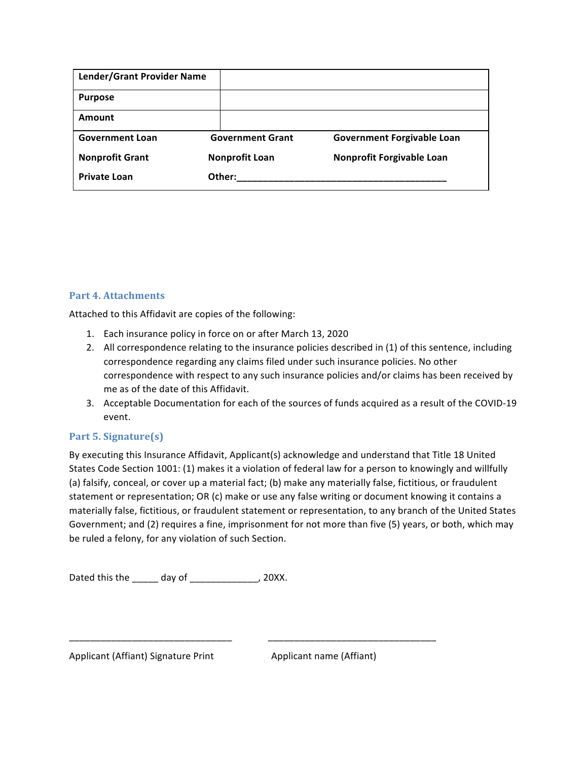| Lender/Grant Provider Name |                         |                                   |
|----------------------------|-------------------------|-----------------------------------|
| <b>Purpose</b>             |                         |                                   |
| Amount                     |                         |                                   |
| <b>Government Loan</b>     | <b>Government Grant</b> | <b>Government Forgivable Loan</b> |
| <b>Nonprofit Grant</b>     | <b>Nonprofit Loan</b>   | Nonprofit Forgivable Loan         |
| <b>Private Loan</b>        | Other:                  |                                   |

# **Part 4. Attachments**

Attached to this Affidavit are copies of the following:

- 1. Each insurance policy in force on or after March 13, 2020
- 2. All correspondence relating to the insurance policies described in (1) of this sentence, including correspondence regarding any claims filed under such insurance policies. No other correspondence with respect to any such insurance policies and/or claims has been received by me as of the date of this Affidavit.
- 3. Acceptable Documentation for each of the sources of funds acquired as a result of the COVID-19 event.

# **Part 5. Signature(s)**

By executing this Insurance Affidavit, Applicant(s) acknowledge and understand that Title 18 United States Code Section 1001: (1) makes it a violation of federal law for a person to knowingly and willfully (a) falsify, conceal, or cover up a material fact; (b) make any materially false, fictitious, or fraudulent statement or representation; OR (c) make or use any false writing or document knowing it contains a materially false, fictitious, or fraudulent statement or representation, to any branch of the United States Government; and (2) requires a fine, imprisonment for not more than five (5) years, or both, which may be ruled a felony, for any violation of such Section.

\_\_\_\_\_\_\_\_\_\_\_\_\_\_\_\_\_\_\_\_\_\_\_\_\_\_\_\_\_\_\_ \_\_\_\_\_\_\_\_\_\_\_\_\_\_\_\_\_\_\_\_\_\_\_\_\_\_\_\_\_\_\_\_

Dated this the \_\_\_\_\_ day of \_\_\_\_\_\_\_\_\_\_\_\_\_, 20XX.

Applicant (Affiant) Signature Print **Applicant name** (Affiant)